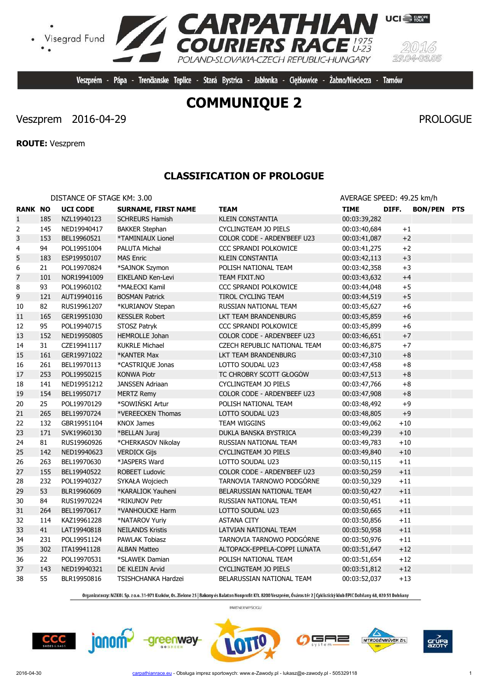# **COMMUNIQUE 2**

Veszprém - Pápa - Trenčianske Teplice - Stará Bystrica - Jabłonka - Ciężkowice - Żabno/Nieciecza - Tarnów

**EXPATHIAN**<br>COURIERS RACE

POLAND-SLOVAKIA-CZECH REPUBLIC-HUNGARY

# Veszprem 2016-04-29 PROLOGUE

Visegrad Fund

**ROUTE:** Veszprem

 $\bullet$ 

# **CLASSIFICATION OF PROLOGUE**

| DISTANCE OF STAGE KM: 3.00 |     |                 |                            | AVERAGE SPEED: 49.25 km/h    |              |         |                |            |
|----------------------------|-----|-----------------|----------------------------|------------------------------|--------------|---------|----------------|------------|
| <b>RANK NO</b>             |     | <b>UCI CODE</b> | <b>SURNAME, FIRST NAME</b> | <b>TEAM</b>                  | <b>TIME</b>  | DIFF.   | <b>BON/PEN</b> | <b>PTS</b> |
| $1\,$                      | 185 | NZL19940123     | <b>SCHREURS Hamish</b>     | <b>KLEIN CONSTANTIA</b>      | 00:03:39,282 |         |                |            |
| 2                          | 145 | NED19940417     | <b>BAKKER Stephan</b>      | CYCLINGTEAM JO PIELS         | 00:03:40,684 | $\pm 1$ |                |            |
| 3                          | 153 | BEL19960521     | *TAMINIAUX Lionel          | COLOR CODE - ARDEN'BEEF U23  | 00:03:41,087 | $+2$    |                |            |
| 4                          | 94  | POL19951004     | PALUTA Michał              | <b>CCC SPRANDI POLKOWICE</b> | 00:03:41,275 | $+2$    |                |            |
| 5                          | 183 | ESP19950107     | <b>MAS Enric</b>           | <b>KLEIN CONSTANTIA</b>      | 00:03:42,113 | $+3$    |                |            |
| 6                          | 21  | POL19970824     | *SAJNOK Szymon             | POLISH NATIONAL TEAM         | 00:03:42,358 | $+3$    |                |            |
| $\overline{7}$             | 101 | NOR19941009     | EIKELAND Ken-Levi          | TEAM FIXIT.NO                | 00:03:43,632 | $+4$    |                |            |
| 8                          | 93  | POL19960102     | *MAŁECKI Kamil             | <b>CCC SPRANDI POLKOWICE</b> | 00:03:44,048 | $+5$    |                |            |
| 9                          | 121 | AUT19940116     | <b>BOSMAN Patrick</b>      | TIROL CYCLING TEAM           | 00:03:44,519 | $+5$    |                |            |
| 10                         | 82  | RUS19961207     | *KURIANOV Stepan           | RUSSIAN NATIONAL TEAM        | 00:03:45,627 | $+6$    |                |            |
| 11                         | 165 | GER19951030     | <b>KESSLER Robert</b>      | LKT TEAM BRANDENBURG         | 00:03:45,859 | $+6$    |                |            |
| 12                         | 95  | POL19940715     | STOSZ Patryk               | <b>CCC SPRANDI POLKOWICE</b> | 00:03:45,899 | $+6$    |                |            |
| 13                         | 152 | NED19950805     | <b>HEMROLLE Johan</b>      | COLOR CODE - ARDEN'BEEF U23  | 00:03:46,651 | $+7$    |                |            |
| 14                         | 31  | CZE19941117     | <b>KUKRLE Michael</b>      | CZECH REPUBLIC NATIONAL TEAM | 00:03:46,875 | $+7$    |                |            |
| 15                         | 161 | GER19971022     | *KANTER Max                | LKT TEAM BRANDENBURG         | 00:03:47,310 | $+8$    |                |            |
| 16                         | 261 | BEL19970113     | *CASTRIQUE Jonas           | LOTTO SOUDAL U23             | 00:03:47,458 | $+8$    |                |            |
| 17                         | 253 | POL19950215     | <b>KONWA Piotr</b>         | TC CHROBRY SCOTT GŁOGÓW      | 00:03:47,513 | $+8$    |                |            |
| 18                         | 141 | NED19951212     | <b>JANSSEN Adriaan</b>     | CYCLINGTEAM JO PIELS         | 00:03:47,766 | $+8$    |                |            |
| 19                         | 154 | BEL19950717     | <b>MERTZ Remy</b>          | COLOR CODE - ARDEN'BEEF U23  | 00:03:47,908 | $+8$    |                |            |
| 20                         | 25  | POL19970129     | *SOWIŃSKI Artur            | POLISH NATIONAL TEAM         | 00:03:48,492 | $+9$    |                |            |
| 21                         | 265 | BEL19970724     | *VEREECKEN Thomas          | LOTTO SOUDAL U23             | 00:03:48,805 | $+9$    |                |            |
| 22                         | 132 | GBR19951104     | <b>KNOX James</b>          | TEAM WIGGINS                 | 00:03:49,062 | $+10$   |                |            |
| 23                         | 171 | SVK19960130     | *BELLAN Juraj              | DUKLA BANSKA BYSTRICA        | 00:03:49,239 | $+10$   |                |            |
| 24                         | 81  | RUS19960926     | *CHERKASOV Nikolay         | RUSSIAN NATIONAL TEAM        | 00:03:49,783 | $+10$   |                |            |
| 25                         | 142 | NED19940623     | <b>VERDICK Gijs</b>        | <b>CYCLINGTEAM JO PIELS</b>  | 00:03:49,840 | $+10$   |                |            |
| 26                         | 263 | BEL19970630     | *JASPERS Ward              | LOTTO SOUDAL U23             | 00:03:50,115 | $+11$   |                |            |
| 27                         | 155 | BEL19940522     | <b>ROBEET Ludovic</b>      | COLOR CODE - ARDEN'BEEF U23  | 00:03:50,259 | $+11$   |                |            |
| 28                         | 232 | POL19940327     | SYKAŁA Wojciech            | TARNOVIA TARNOWO PODGÓRNE    | 00:03:50,329 | $+11$   |                |            |
| 29                         | 53  | BLR19960609     | *KARALIOK Yauheni          | BELARUSSIAN NATIONAL TEAM    | 00:03:50,427 | $+11\,$ |                |            |
| 30                         | 84  | RUS19970224     | *RIKUNOV Petr              | RUSSIAN NATIONAL TEAM        | 00:03:50,451 | $+11$   |                |            |
| 31                         | 264 | BEL19970617     | *VANHOUCKE Harm            | LOTTO SOUDAL U23             | 00:03:50,665 | $+11$   |                |            |
| 32                         | 114 | KAZ19961228     | *NATAROV Yuriy             | <b>ASTANA CITY</b>           | 00:03:50,856 | $+11$   |                |            |
| 33                         | 41  | LAT19940818     | <b>NEILANDS Kristis</b>    | LATVIAN NATIONAL TEAM        | 00:03:50,958 | $+11\,$ |                |            |
| 34                         | 231 | POL19951124     | <b>PAWLAK Tobiasz</b>      | TARNOVIA TARNOWO PODGÓRNE    | 00:03:50,976 | $+11$   |                |            |
| 35                         | 302 | ITA19941128     | <b>ALBAN Matteo</b>        | ALTOPACK-EPPELA-COPPI LUNATA | 00:03:51,647 | $+12$   |                |            |
| 36                         | 22  | POL19970531     | *SLAWEK Damian             | POLISH NATIONAL TEAM         | 00:03:51,654 | $+12$   |                |            |
| 37                         | 143 | NED19940321     | DE KLEIJN Arvid            | <b>CYCLINGTEAM JO PIELS</b>  | 00:03:51,812 | $+12$   |                |            |
| 38                         | 55  | BLR19950816     | TSISHCHANKA Hardzei        | BELARUSSIAN NATIONAL TEAM    | 00:03:52,037 | $+13$   |                |            |

Organizatorzy: MZKOL Sp. z o.o. 31-971 Kraków, Os. Zielone 25 | Bakony és Balaton Nonprofit Kft. 8200 Veszprém, Óváros tér 2 | Cyklistický klub EPIC Dohňany 68, 020 51 Dohňany

PARTNER WYŚCIGU

**CCC** 



-greenway-









**UCI** EUROPE

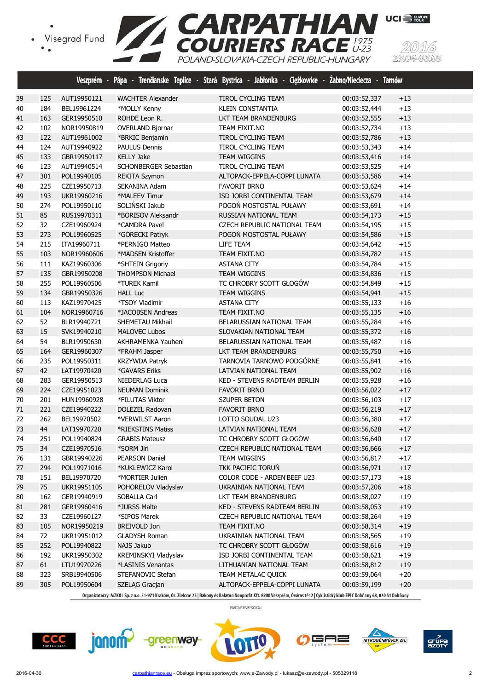



|          |           |                            |                                    | Veszprém - Pápa - Trenčianske Teplice - Stará Bystrica - Jabłonka - Ciężkowice - Żabno/Nieciecza - Tarnów |                              |                |  |
|----------|-----------|----------------------------|------------------------------------|-----------------------------------------------------------------------------------------------------------|------------------------------|----------------|--|
| 39       | 125       | AUT19950121                | <b>WACHTER Alexander</b>           | TIROL CYCLING TEAM                                                                                        | 00:03:52,337                 | $+13$          |  |
| 40       | 184       | BEL19961224                | *MOLLY Kenny                       | <b>KLEIN CONSTANTIA</b>                                                                                   | 00:03:52,444                 | $+13$          |  |
| 41       | 163       | GER19950510                | ROHDE Leon R.                      | LKT TEAM BRANDENBURG                                                                                      | 00:03:52,555                 | $+13$          |  |
| 42       | 102       | NOR19950819                | <b>OVERLAND Bjornar</b>            | TEAM FIXIT.NO                                                                                             | 00:03:52,734                 | $+13$          |  |
| 43       | 122       | AUT19961002                | *BRKIC Benjamin                    | TIROL CYCLING TEAM                                                                                        | 00:03:52,786                 | $+13$          |  |
| 44       | 124       | AUT19940922                | <b>PAULUS Dennis</b>               | TIROL CYCLING TEAM                                                                                        | 00:03:53,343                 | $+14$          |  |
| 45       | 133       | GBR19950117                | <b>KELLY Jake</b>                  | <b>TEAM WIGGINS</b>                                                                                       | 00:03:53,416                 | $+14$          |  |
| 46       | 123       | AUT19940514                | SCHONBERGER Sebastian              | TIROL CYCLING TEAM                                                                                        | 00:03:53,525                 | $+14$          |  |
| 47       | 301       | POL19940105                | <b>REKITA Szymon</b>               | ALTOPACK-EPPELA-COPPI LUNATA                                                                              | 00:03:53,586                 | $+14$          |  |
| 48       | 225       | CZE19950713                | SEKANINA Adam                      | <b>FAVORIT BRNO</b>                                                                                       | 00:03:53,624                 | $+14$          |  |
| 49       | 193       | UKR19960216                | *MALEEV Timur                      | ISD JORBI CONTINENTAL TEAM                                                                                | 00:03:53,679                 | $+14$          |  |
| 50       | 274       | POL19950110                | SOLIŃSKI Jakub                     | POGOŃ MOSTOSTAL PUŁAWY                                                                                    | 00:03:53,691                 | $+14$          |  |
| 51       | 85        | RUS19970311                | *BORISOV Aleksandr                 | RUSSIAN NATIONAL TEAM                                                                                     | 00:03:54,173                 | $+15$          |  |
| 52       | 32        | CZE19960924                | *CAMDRA Pavel                      | CZECH REPUBLIC NATIONAL TEAM                                                                              | 00:03:54,195                 | $+15$          |  |
| 53       | 273       | POL19960525                | *GÓRECKI Patryk                    | POGOŃ MOSTOSTAL PUŁAWY                                                                                    | 00:03:54,586                 | $+15$          |  |
| 54       | 215       | ITA19960711                | *PERNIGO Matteo                    | LIFE TEAM                                                                                                 | 00:03:54,642                 | $+15$          |  |
| 55       | 103       | NOR19960606                | *MADSEN Kristoffer                 | TEAM FIXIT.NO                                                                                             | 00:03:54,782                 | $+15$          |  |
| 56       | 111       | KAZ19960306                | *SHTEIN Grigoriy                   | <b>ASTANA CITY</b>                                                                                        | 00:03:54,784                 | $+15$          |  |
| 57       | 135       | GBR19950208                | <b>THOMPSON Michael</b>            | <b>TEAM WIGGINS</b>                                                                                       | 00:03:54,836                 | $+15$          |  |
| 58       | 255       | POL19960506                | *TUREK Kamil                       | TC CHROBRY SCOTT GŁOGÓW                                                                                   | 00:03:54,849                 | $+15$          |  |
| 59       | 134       | GBR19950326                | <b>HALL Luc</b>                    | <b>TEAM WIGGINS</b>                                                                                       | 00:03:54,941                 | $+15$          |  |
| 60       | 113       | KAZ19970425                | *TSOY Vladimir                     | <b>ASTANA CITY</b>                                                                                        | 00:03:55,133                 | $+16$          |  |
| 61       | 104       | NOR19960716                | *JACOBSEN Andreas                  | TEAM FIXIT.NO                                                                                             | 00:03:55,135                 | $+16$          |  |
| 62       | 52        | BLR19940721                | SHEMETAU Mikhail                   | BELARUSSIAN NATIONAL TEAM                                                                                 | 00:03:55,284                 | $+16$          |  |
| 63       | 15        | SVK19940210                | <b>MALOVEC Lubos</b>               | SLOVAKIAN NATIONAL TEAM                                                                                   | 00:03:55,372                 | $+16$          |  |
| 64       | 54        | BLR19950630                | AKHRAMENKA Yauheni                 | BELARUSSIAN NATIONAL TEAM                                                                                 | 00:03:55,487                 | $+16$          |  |
| 65       | 164       | GER19960307                | *FRAHM Jasper                      | LKT TEAM BRANDENBURG                                                                                      | 00:03:55,750                 | $+16$          |  |
| 66       | 235       | POL19950311                | KRZYWDA Patryk                     | TARNOVIA TARNOWO PODGÓRNE                                                                                 | 00:03:55,841                 | $+16$          |  |
| 67       | 42        | LAT19970420                | *GAVARS Eriks                      | LATVIAN NATIONAL TEAM                                                                                     | 00:03:55,902                 | $+16$          |  |
| 68       | 283       | GER19950513                | NIEDERLAG Luca                     | KED - STEVENS RADTEAM BERLIN                                                                              | 00:03:55,928                 | $+16$          |  |
| 69       | 224       | CZE19951023                | <b>NEUMAN Dominik</b>              | <b>FAVORIT BRNO</b>                                                                                       | 00:03:56,022                 | $+17$          |  |
| 70       | 201       | HUN19960928                | *FILUTAS Viktor                    | <b>SZUPER BETON</b>                                                                                       | 00:03:56,103                 | $+17$          |  |
| 71       | 221       | CZE19940222                | <b>DOLEZEL Radovan</b>             | <b>FAVORIT BRNO</b>                                                                                       | 00:03:56,219                 | $+17$          |  |
| 72       | 262       | BEL19970502                | *VERWILST Aaron                    | LOTTO SOUDAL U23                                                                                          | 00:03:56,380                 | $+17$          |  |
| 73       | 44        | LAT19970720                | *RIEKSTINS Matiss                  | LATVIAN NATIONAL TEAM                                                                                     | 00:03:56,628                 | $+17$          |  |
| 74       | 251       | POL19940824                | <b>GRABIS Mateusz</b>              | TC CHROBRY SCOTT GŁOGÓW                                                                                   | 00:03:56,640                 | $+17$          |  |
| 75       | 34        | CZE19970516                | *SORM Jiri                         | CZECH REPUBLIC NATIONAL TEAM                                                                              | 00:03:56,666                 | $+17$          |  |
| 76       | 131       | GBR19940226                | PEARSON Daniel                     | TEAM WIGGINS                                                                                              | 00:03:56,817                 | $+17$          |  |
| 77       | 294       | POL19971016                | *KUKLEWICZ Karol                   | TKK PACIFIC TORUN                                                                                         | 00:03:56,971                 | $+17$          |  |
| 78       | 151       | BEL19970720                | *MORTIER Julien                    | COLOR CODE - ARDEN'BEEF U23                                                                               | 00:03:57,173                 | $+18$          |  |
| 79       | 75        | UKR19951105                | POHORELOV Vladyslav                | UKRAINIAN NATIONAL TEAM                                                                                   | 00:03:57,206                 | $+18$          |  |
| 80       | 162       | GER19940919                | SOBALLA Carl                       | LKT TEAM BRANDENBURG                                                                                      | 00:03:58,027                 | $+19$          |  |
|          |           |                            |                                    |                                                                                                           | 00:03:58,053                 |                |  |
| 81       | 281       | GER19960416                | *JURSS Malte                       | KED - STEVENS RADTEAM BERLIN                                                                              |                              | $+19$          |  |
| 82       | 33        | CZE19960127                | *SIPOS Marek                       | CZECH REPUBLIC NATIONAL TEAM                                                                              | 00:03:58,264<br>00:03:58,314 | $+19$          |  |
| 83       | 105       | NOR19950219                | <b>BREIVOLD Jon</b>                | TEAM FIXIT.NO                                                                                             |                              | $+19$          |  |
| 84<br>85 | 72<br>252 | UKR19951012<br>POL19940822 | <b>GLADYSH Roman</b><br>NAJS Jakub | UKRAINIAN NATIONAL TEAM<br>TC CHROBRY SCOTT GŁOGÓW                                                        | 00:03:58,565<br>00:03:58,616 | $+19$<br>$+19$ |  |
|          | 192       |                            |                                    |                                                                                                           | 00:03:58,621                 |                |  |
| 86       |           | UKR19950302                | KREMINSKYI Vladyslav               | ISD JORBI CONTINENTAL TEAM                                                                                |                              | $+19$          |  |
| 87       | 61        | LTU19970226                | *LASINIS Venantas                  | LITHUANIAN NATIONAL TEAM                                                                                  | 00:03:58,812                 | $+19$          |  |
| 88       | 323       | SRB19940506                | STEFANOVIC Stefan                  | TEAM METALAC QUICK                                                                                        | 00:03:59,064                 | $+20$          |  |
| 89       | 305       | POL19950604                | SZELĄG Gracjan                     | ALTOPACK-EPPELA-COPPI LUNATA                                                                              | 00:03:59,199                 | $+20$          |  |

Organizatorzy: MZKOL Sp. z o.o. 31-971 Kraków, Os. Zielone 25 | Bakony és Balaton Nonprofit Kft. 8200 Veszprém, Óváros tér 2 | Cyklistický klub EPIC Dohňany 68, 020 51 Dohňany

PARTNER WYŚCIGU







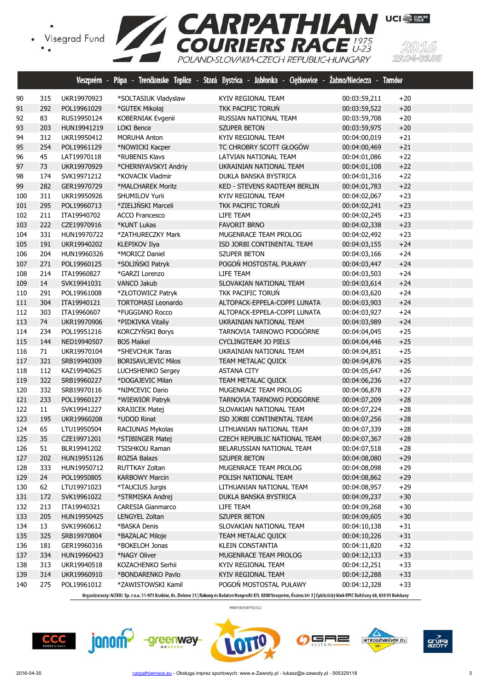



|     |        | Veszprém -  |                            | Pápa - Trenčianske Teplice - Stará Bystrica - Jabłonka - Ciężkowice - Żabno/Nieciecza - Tarnów |              |       |
|-----|--------|-------------|----------------------------|------------------------------------------------------------------------------------------------|--------------|-------|
| 90  | 315    | UKR19970923 | *SOLTASIUK Vladyslaw       | KYIV REGIONAL TEAM                                                                             | 00:03:59,211 | $+20$ |
| 91  | 292    | POL19961029 | *GUTEK Mikołaj             | TKK PACIFIC TORUN                                                                              | 00:03:59,522 | $+20$ |
| 92  | 83     | RUS19950124 | KOBERNIAK Evgenii          | RUSSIAN NATIONAL TEAM                                                                          | 00:03:59,708 | $+20$ |
| 93  | 203    | HUN19941219 | <b>LOKI Bence</b>          | <b>SZUPER BETON</b>                                                                            | 00:03:59,975 | $+20$ |
| 94  | 312    | UKR19950412 | <b>MORUHA Anton</b>        | KYIV REGIONAL TEAM                                                                             | 00:04:00,019 | $+21$ |
| 95  | 254    | POL19961129 | *NOWICKI Kacper            | TC CHROBRY SCOTT GŁOGÓW                                                                        | 00:04:00,469 | $+21$ |
| 96  | 45     | LAT19970118 | *RUBENIS Klavs             | LATVIAN NATIONAL TEAM                                                                          | 00:04:01,086 | $+22$ |
| 97  | 73     | UKR19970929 | *CHERNYAVSKYI Andriy       | UKRAINIAN NATIONAL TEAM                                                                        | 00:04:01,108 | $+22$ |
| 98  | 174    | SVK19971212 | *KOVACIK Vladmir           | DUKLA BANSKA BYSTRICA                                                                          | 00:04:01,316 | $+22$ |
| 99  | 282    | GER19970729 | *MALCHAREK Moritz          | KED - STEVENS RADTEAM BERLIN                                                                   | 00:04:01,783 | $+22$ |
| 100 | 311    | UKR19950926 | SHUMILOV Yurii             | KYIV REGIONAL TEAM                                                                             | 00:04:02,067 | $+23$ |
| 101 | 295    | POL19960713 | *ZIELIŃSKI Marceli         | TKK PACIFIC TORUN                                                                              | 00:04:02,241 | $+23$ |
| 102 | 211    | ITA19940702 | <b>ACCO Francesco</b>      | LIFE TEAM                                                                                      | 00:04:02,245 | $+23$ |
| 103 | 222    | CZE19970916 | *KUNT Lukas                | <b>FAVORIT BRNO</b>                                                                            | 00:04:02,338 | $+23$ |
| 104 | 331    | HUN19970722 | *ZATHURECZKY Mark          | MUGENRACE TEAM PROLOG                                                                          | 00:04:02,492 | $+23$ |
| 105 | 191    | UKR19940202 | <b>KLEPIKOV Ilya</b>       | ISD JORBI CONTINENTAL TEAM                                                                     | 00:04:03,155 | $+24$ |
| 106 | 204    | HUN19960326 | *MORICZ Daniel             | <b>SZUPER BETON</b>                                                                            | 00:04:03,166 | $+24$ |
| 107 | 271    | POL19960125 | *SOLIŃSKI Patryk           | POGOŃ MOSTOSTAL PUŁAWY                                                                         | 00:04:03,447 | $+24$ |
| 108 | 214    | ITA19960827 | *GARZI Lorenzo             | LIFE TEAM                                                                                      | 00:04:03,503 | $+24$ |
| 109 | 14     | SVK19941031 | VANCO Jakub                | SLOVAKIAN NATIONAL TEAM                                                                        | 00:04:03,614 | $+24$ |
| 110 | 291    | POL19961008 | *ZŁOTOWICZ Patryk          | TKK PACIFIC TORUŃ                                                                              | 00:04:03,620 | $+24$ |
| 111 | 304    | ITA19940121 | <b>TORTOMASI Leonardo</b>  | ALTOPACK-EPPELA-COPPI LUNATA                                                                   | 00:04:03,903 | $+24$ |
| 112 | 303    | ITA19960607 | *FUGGIANO Rocco            | ALTOPACK-EPPELA-COPPI LUNATA                                                                   | 00:04:03,927 | $+24$ |
| 113 | 74     | UKR19970906 | *PIDKIVKA Vitaliy          | UKRAINIAN NATIONAL TEAM                                                                        | 00:04:03,989 | $+24$ |
| 114 | 234    | POL19951216 | KORCZYŃSKI Borys           | TARNOVIA TARNOWO PODGÓRNE                                                                      | 00:04:04,045 | $+25$ |
| 115 | 144    | NED19940507 | <b>BOS Maikel</b>          | <b>CYCLINGTEAM JO PIELS</b>                                                                    | 00:04:04,446 | $+25$ |
| 116 | $71\,$ | UKR19970104 | *SHEVCHUK Taras            | UKRAINIAN NATIONAL TEAM                                                                        | 00:04:04,851 | $+25$ |
| 117 | 321    | SRB19940309 | <b>BORISAVLJEVIC Milos</b> | <b>TEAM METALAC QUICK</b>                                                                      | 00:04:04,876 | $+25$ |
| 118 | 112    | KAZ19940625 | LUCHSHENKO Sergey          | <b>ASTANA CITY</b>                                                                             | 00:04:05,647 | $+26$ |
| 119 | 322    | SRB19960227 | *DOGAJEVIC Milan           | <b>TEAM METALAC QUICK</b>                                                                      | 00:04:06,236 | $+27$ |
| 120 | 332    | SRB19970116 | *NIMCEVIC Dario            | MUGENRACE TEAM PROLOG                                                                          | 00:04:06,878 | $+27$ |
| 121 | 233    | POL19960127 | *WIEWIÓR Patryk            | TARNOVIA TARNOWO PODGÓRNE                                                                      | 00:04:07,209 | $+28$ |
| 122 | $11\,$ | SVK19941227 | <b>KRAJICEK Matej</b>      | SLOVAKIAN NATIONAL TEAM                                                                        | 00:04:07,224 | $+28$ |
| 123 | 195    | UKR19960208 | *UDOD Rinat                | ISD JORBI CONTINENTAL TEAM                                                                     | 00:04:07,256 | $+28$ |
| 124 | 65     | LTU19950504 | RACIUNAS Mykolas           | LITHUANIAN NATIONAL TEAM                                                                       | 00:04:07,339 | $+28$ |
| 125 | 35     | CZE19971201 | *STIBINGER Matej           | <b>CZECH REPUBLIC NATIONAL TEAM</b>                                                            | 00:04:07,367 | $+28$ |
| 126 | 51     | BLR19941202 | TSISHKOU Raman             | BELARUSSIAN NATIONAL TEAM                                                                      | 00:04:07,518 | $+28$ |
| 127 | 202    | HUN19951126 | ROZSA Balazs               | <b>SZUPER BETON</b>                                                                            | 00:04:08,080 | $+29$ |
| 128 | 333    | HUN19950712 | RUTTKAY Zoltan             | MUGENRACE TEAM PROLOG                                                                          | 00:04:08,098 | $+29$ |
| 129 | 24     | POL19950805 | <b>KARBOWY Marcin</b>      | POLISH NATIONAL TEAM                                                                           | 00:04:08,862 | $+29$ |
| 130 | 62     | LTU19971023 | *TAUCIUS Jurgis            | LITHUANIAN NATIONAL TEAM                                                                       | 00:04:08,957 | $+29$ |
| 131 | 172    | SVK19961022 | *STRMISKA Andrej           | DUKLA BANSKA BYSTRICA                                                                          | 00:04:09,237 | $+30$ |
| 132 | 213    | ITA19940321 | <b>CARESIA Gianmarco</b>   | LIFE TEAM                                                                                      | 00:04:09,268 | $+30$ |
| 133 | 205    | HUN19950425 | <b>LENGYEL Zoltan</b>      | <b>SZUPER BETON</b>                                                                            | 00:04:09,605 | $+30$ |
| 134 | 13     | SVK19960612 | *BASKA Denis               | SLOVAKIAN NATIONAL TEAM                                                                        | 00:04:10,138 | $+31$ |
| 135 | 325    | SRB19970804 | *BAZALAC Miloje            | TEAM METALAC QUICK                                                                             | 00:04:10,226 | $+31$ |
| 136 | 181    | GER19960316 | *BOKELOH Jonas             | KLEIN CONSTANTIA                                                                               | 00:04:11,820 | $+32$ |
| 137 | 334    | HUN19960423 | *NAGY Oliver               | MUGENRACE TEAM PROLOG                                                                          | 00:04:12,133 | $+33$ |
| 138 | 313    | UKR19940518 | KOZACHENKO Serhii          | KYIV REGIONAL TEAM                                                                             | 00:04:12,251 | $+33$ |
| 139 | 314    | UKR19960910 | *BONDARENKO Pavlo          | KYIV REGIONAL TEAM                                                                             | 00:04:12,288 | $+33$ |
| 140 | 275    | POL19961012 | *ZAWISTOWSKI Kamil         | POGOŃ MOSTOSTAL PUŁAWY                                                                         | 00:04:12,328 | $+33$ |

Organizatorzy: MZKOL Sp. z o.o. 31-971 Kraków, Os. Zielone 25 | Bakony és Balaton Nonprofit Kft. 8200 Veszprém, Óváros tér 2 | Cyklistický klub EPIC Dohňany 68, 020 51 Dohňany

PARTNER WYŚCIGU







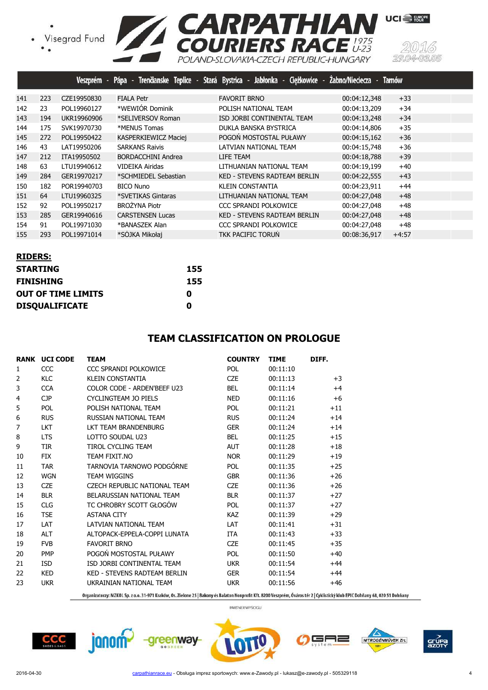• Visegrad Fund<br>• •



|     |     | <b>Veszprém</b> |                         | Pápa - Trenčianske Teplice - Stará Bystrica - Jabłonka - Ciężkowice - Żabno/Nieciecza - |              | <b>Tarnów</b> |
|-----|-----|-----------------|-------------------------|-----------------------------------------------------------------------------------------|--------------|---------------|
| 141 | 223 | CZE19950830     | <b>FIALA Petr</b>       | <b>FAVORIT BRNO</b>                                                                     | 00:04:12,348 | $+33$         |
| 142 | 23  | POL19960127     | *WEWIÓR Dominik         | POLISH NATIONAL TEAM                                                                    | 00:04:13,209 | $+34$         |
| 143 | 194 | UKR19960906     | *SELIVERSOV Roman       | ISD JORBI CONTINENTAL TEAM                                                              | 00:04:13,248 | $+34$         |
| 144 | 175 | SVK19970730     | *MENUS Tomas            | DUKLA BANSKA BYSTRICA                                                                   | 00:04:14,806 | $+35$         |
| 145 | 272 | POL19950422     | KASPERKIEWICZ Maciej    | POGOŃ MOSTOSTAL PUŁAWY                                                                  | 00:04:15,162 | $+36$         |
| 146 | 43  | LAT19950206     | <b>SARKANS Raivis</b>   | LATVIAN NATIONAL TEAM                                                                   | 00:04:15,748 | $+36$         |
| 147 | 212 | ITA19950502     | BORDACCHINI Andrea      | LIFE TEAM                                                                               | 00:04:18,788 | $+39$         |
| 148 | 63  | LTU19940612     | VIDEIKA Airidas         | LITHUANIAN NATIONAL TEAM                                                                | 00:04:19,199 | $+40$         |
| 149 | 284 | GER19970217     | *SCHMIEDEL Sebastian    | <b>KED - STEVENS RADTEAM BERLIN</b>                                                     | 00:04:22,555 | $+43$         |
| 150 | 182 | POR19940703     | <b>BICO Nuno</b>        | <b>KLEIN CONSTANTIA</b>                                                                 | 00:04:23,911 | $+44$         |
| 151 | 64  | LTU19960325     | *SVETIKAS Gintaras      | LITHUANIAN NATIONAL TEAM                                                                | 00:04:27,048 | $+48$         |
| 152 | 92  | POL19950217     | <b>BROŻYNA Piotr</b>    | CCC SPRANDI POLKOWICE                                                                   | 00:04:27,048 | $+48$         |
| 153 | 285 | GER19940616     | <b>CARSTENSEN Lucas</b> | <b>KED - STEVENS RADTEAM BERLIN</b>                                                     | 00:04:27,048 | $+48$         |
| 154 | 91  | POL19971030     | *BANASZEK Alan          | CCC SPRANDI POLKOWICE                                                                   | 00:04:27,048 | $+48$         |
| 155 | 293 | POL19971014     | *SÓJKA Mikołai          | <b>TKK PACIFIC TORUN</b>                                                                | 00:08:36,917 | $+4:57$       |

| <b>RIDERS:</b>            |     |
|---------------------------|-----|
| <b>STARTING</b>           | 155 |
| <b>FINISHING</b>          | 155 |
| <b>OUT OF TIME LIMITS</b> | O   |
| <b>DISQUALIFICATE</b>     | Ω   |

## **TEAM CLASSIFICATION ON PROLOGUE**

|                | <b>RANK UCI CODE</b> | <b>TEAM</b>                  | <b>COUNTRY</b> | <b>TIME</b> | DIFF. |
|----------------|----------------------|------------------------------|----------------|-------------|-------|
| 1              | CCC                  | CCC SPRANDI POLKOWICE        | <b>POL</b>     | 00:11:10    |       |
| 2              | <b>KLC</b>           | <b>KLEIN CONSTANTIA</b>      | <b>CZE</b>     | 00:11:13    | $+3$  |
| 3              | <b>CCA</b>           | COLOR CODE - ARDEN'BEEE U23  | <b>BEL</b>     | 00:11:14    | $+4$  |
| $\overline{4}$ | <b>CJP</b>           | CYCLINGTEAM JO PIELS         | <b>NED</b>     | 00:11:16    | $+6$  |
| 5              | <b>POL</b>           | POLISH NATIONAL TEAM         | <b>POL</b>     | 00:11:21    | $+11$ |
| 6              | <b>RUS</b>           | RUSSIAN NATIONAL TEAM        | <b>RUS</b>     | 00:11:24    | $+14$ |
| 7              | <b>LKT</b>           | LKT TEAM BRANDENBURG         | <b>GER</b>     | 00:11:24    | $+14$ |
| 8              | <b>LTS</b>           | LOTTO SOUDAL U23             | <b>BEL</b>     | 00:11:25    | $+15$ |
| 9              | <b>TIR</b>           | TIROL CYCLING TEAM           | <b>AUT</b>     | 00:11:28    | $+18$ |
| 10             | <b>FIX</b>           | TEAM FIXIT.NO                | <b>NOR</b>     | 00:11:29    | $+19$ |
| 11             | <b>TAR</b>           | TARNOVIA TARNOWO PODGÓRNE    | <b>POL</b>     | 00:11:35    | $+25$ |
| 12             | <b>WGN</b>           | <b>TEAM WIGGINS</b>          | <b>GBR</b>     | 00:11:36    | $+26$ |
| 13             | <b>CZE</b>           | CZECH REPUBLIC NATIONAL TEAM | <b>CZE</b>     | 00:11:36    | $+26$ |
| 14             | <b>BLR</b>           | BELARUSSIAN NATIONAL TEAM    | <b>BLR</b>     | 00:11:37    | $+27$ |
| 15             | <b>CLG</b>           | TC CHROBRY SCOTT GŁOGÓW      | <b>POL</b>     | 00:11:37    | $+27$ |
| 16             | <b>TSE</b>           | <b>ASTANA CITY</b>           | <b>KAZ</b>     | 00:11:39    | $+29$ |
| 17             | <b>LAT</b>           | <b>LATVIAN NATIONAL TFAM</b> | LAT            | 00:11:41    | $+31$ |
| 18             | <b>ALT</b>           | ALTOPACK-EPPELA-COPPI LUNATA | <b>ITA</b>     | 00:11:43    | $+33$ |
| 19             | <b>FVB</b>           | <b>FAVORIT BRNO</b>          | <b>CZE</b>     | 00:11:45    | $+35$ |
| 20             | <b>PMP</b>           | POGOŃ MOSTOSTAL PUŁAWY       | <b>POL</b>     | 00:11:50    | $+40$ |
| 21             | <b>ISD</b>           | ISD JORBI CONTINENTAL TEAM   | <b>UKR</b>     | 00:11:54    | $+44$ |
| 22             | <b>KED</b>           | KED - STEVENS RADTEAM BERLIN | <b>GER</b>     | 00:11:54    | $+44$ |
| 23             | <b>UKR</b>           | UKRAINIAN NATIONAL TEAM      | <b>UKR</b>     | 00:11:56    | $+46$ |

Organizatorzy: MZKOL Sp. z o.o. 31-971 Kraków, Os. Zielone 25 | Bakony és Balaton Nonprofit Kft. 8200 Veszprém, Óváros tér 2 | Cyklistický klub EPIC Dohňany 68, 020 51 Dohňany

PARTNER WYŚCIGU

 $CCC$ 

janom<sup>2</sup>





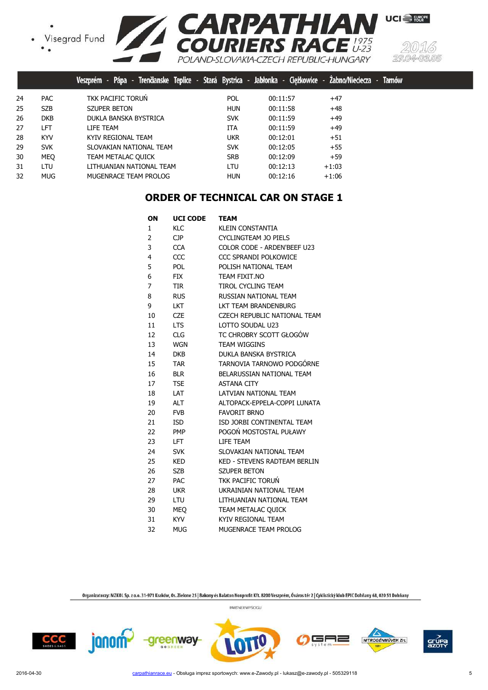



|    |            | Trenäanske Teplice -<br>Pápa -<br><b>Veszprém</b> |            | Stará Bystrica - Jabłonka - Ciężkowice | Tarnów<br>Zabno/Nieciecza<br><b>TELESCOPE</b> |
|----|------------|---------------------------------------------------|------------|----------------------------------------|-----------------------------------------------|
| 24 | <b>PAC</b> | TKK PACIFIC TORUN                                 | POL.       | 00:11:57                               | $+47$                                         |
| 25 | <b>SZB</b> | <b>SZUPER BETON</b>                               | <b>HUN</b> | 00:11:58                               | $+48$                                         |
| 26 | <b>DKB</b> | DUKLA BANSKA BYSTRICA                             | <b>SVK</b> | 00:11:59                               | $+49$                                         |
| 27 | LFT        | LIFE TEAM                                         | <b>ITA</b> | 00:11:59                               | $+49$                                         |
| 28 | <b>KYV</b> | KYIV REGIONAL TEAM                                | <b>UKR</b> | 00:12:01                               | $+51$                                         |
| 29 | <b>SVK</b> | SLOVAKIAN NATIONAL TEAM                           | <b>SVK</b> | 00:12:05                               | $+55$                                         |
| 30 | <b>MEO</b> | TEAM METALAC QUICK                                | <b>SRB</b> | 00:12:09                               | $+59$                                         |
| 31 | LTU        | LITHUANIAN NATIONAL TEAM                          | <b>LTU</b> | 00:12:13                               | $+1:03$                                       |
| 32 | <b>MUG</b> | MUGENRACE TEAM PROLOG                             | <b>HUN</b> | 00:12:16                               | $+1:06$                                       |

# **ORDER OF TECHNICAL CAR ON STAGE 1**

| ON | <b>UCI CODE</b> | TEAM                                |
|----|-----------------|-------------------------------------|
| 1  | KLC             | <b>KLEIN CONSTANTIA</b>             |
| 2  | CJP.            | CYCLINGTEAM JO PIELS                |
| 3  | <b>CCA</b>      | COLOR CODE - ARDEN'BEEF U23         |
| 4  | CCC             | <b>CCC SPRANDI POLKOWICE</b>        |
| 5  | POL             | POLISH NATIONAL TEAM                |
| 6  | <b>FIX</b>      | TEAM FIXIT.NO                       |
| 7  | TIR             | TIROL CYCLING TEAM                  |
| 8  | <b>RUS</b>      | RUSSIAN NATIONAL TEAM               |
| 9  | <b>LKT</b>      | LKT TEAM BRANDENBURG                |
| 10 | <b>CZE</b>      | <b>CZECH REPUBLIC NATIONAL TEAM</b> |
| 11 | <b>LTS</b>      | LOTTO SOUDAL U23                    |
| 12 | <b>CLG</b>      | TC CHROBRY SCOTT GŁOGÓW             |
| 13 | WGN             | <b>TEAM WIGGINS</b>                 |
| 14 | <b>DKB</b>      | DUKLA BANSKA BYSTRICA               |
| 15 | TAR             | TARNOVIA TARNOWO PODGÓRNE           |
| 16 | <b>BLR</b>      | BELARUSSIAN NATIONAL TEAM           |
| 17 | <b>TSE</b>      | <b>ASTANA CITY</b>                  |
| 18 | LAT             | LATVIAN NATIONAL TEAM               |
| 19 | <b>ALT</b>      | ALTOPACK-EPPELA-COPPI LUNATA        |
| 20 | <b>FVB</b>      | <b>FAVORIT BRNO</b>                 |
| 21 | <b>ISD</b>      | ISD JORBI CONTINENTAL TEAM          |
| 22 | PMP             | POGOŃ MOSTOSTAL PUŁAWY              |
| 23 | LFT.            | LIFE TEAM                           |
| 24 | <b>SVK</b>      | SLOVAKIAN NATIONAL TEAM             |
| 25 | <b>KED</b>      | <b>KED - STEVENS RADTEAM BERLIN</b> |
| 26 | <b>SZB</b>      | <b>SZUPER BETON</b>                 |
| 27 | <b>PAC</b>      | TKK PACIFIC TORUŃ                   |
| 28 | <b>UKR</b>      | UKRAINIAN NATIONAL TEAM             |
| 29 | LTU             | LITHUANIAN NATIONAL TEAM            |
| 30 | <b>MEO</b>      | TEAM METALAC QUICK                  |
| 31 | <b>KYV</b>      | KYIV REGIONAL TEAM                  |
| 32 | MUG             | MUGENRACE TEAM PROLOG               |

Organizatorzy: MZKOL Sp. z o.o. 31-971 Kraków, Os. Zielone 25 | Bakony és Balaton Nonprofit Kft. 8200 Veszprém, Óváros tér 2 | Cyklistický klub EPIC Dohňany 68, 020 51 Dohňany PARTNER WYŚCIGU







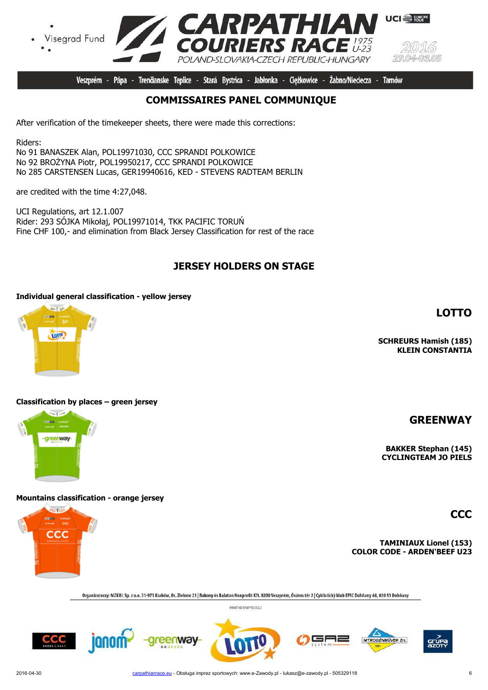

Veszprém - Pápa - Trenčianske Teplice - Stará Bystrica - Jabłonka - Cieżkowice -Żabno/Nieciecza -**Tarnów** 

# **COMMISSAIRES PANEL COMMUNIQUE**

After verification of the timekeeper sheets, there were made this corrections:

Riders:

No 91 BANASZEK Alan, POL19971030, CCC SPRANDI POLKOWICE No 92 BROŻYNA Piotr, POL19950217, CCC SPRANDI POLKOWICE No 285 CARSTENSEN Lucas, GER19940616, KED - STEVENS RADTEAM BERLIN

are credited with the time 4:27,048.

UCI Regulations, art 12.1.007 Rider: 293 SÓJKA Mikołaj, POL19971014, TKK PACIFIC TORUŃ Fine CHF 100,- and elimination from Black Jersey Classification for rest of the race

# **JERSEY HOLDERS ON STAGE**

### **Individual general classification - yellow jersey**



### **Classification by places – green jersey**



### **Mountains classification - orange jersey**



**TAMINIAUX Lionel (153) COLOR CODE - ARDEN'BEEF U23**

Organizatorzy: MZKOL Sp. z o.o. 31-971 Kraków, Os. Zielone 25 | Bakony és Balaton Nonprofit Kft. 8200 Veszprém, Óváros tér 2 | Cyklistický klub EPIC Dohňany 68, 020 51 Dohňany

PARTNER WYŚCIGU











**LOTTO**

**SCHREURS Hamish (185) KLEIN CONSTANTIA**

**GREENWAY**

**CCC**

**BAKKER Stephan (145) CYCLINGTEAM JO PIELS**